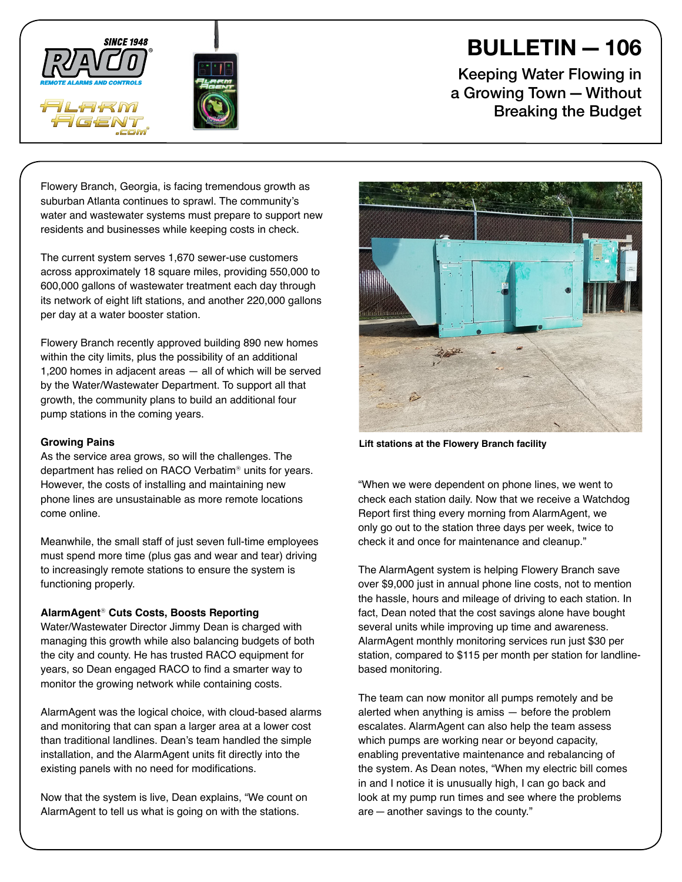



## BULLETIN—106

Keeping Water Flowing in a Growing Town—Without Breaking the Budget

Flowery Branch, Georgia, is facing tremendous growth as suburban Atlanta continues to sprawl. The community's water and wastewater systems must prepare to support new residents and businesses while keeping costs in check.

The current system serves 1,670 sewer-use customers across approximately 18 square miles, providing 550,000 to 600,000 gallons of wastewater treatment each day through its network of eight lift stations, and another 220,000 gallons per day at a water booster station.

Flowery Branch recently approved building 890 new homes within the city limits, plus the possibility of an additional 1,200 homes in adjacent areas — all of which will be served by the Water/Wastewater Department. To support all that growth, the community plans to build an additional four pump stations in the coming years.

## **Growing Pains**

As the service area grows, so will the challenges. The department has relied on RACO Verbatim® units for years. However, the costs of installing and maintaining new phone lines are unsustainable as more remote locations come online.

Meanwhile, the small staff of just seven full-time employees must spend more time (plus gas and wear and tear) driving to increasingly remote stations to ensure the system is functioning properly.

## **AlarmAgent**® **Cuts Costs, Boosts Reporting**

Water/Wastewater Director Jimmy Dean is charged with managing this growth while also balancing budgets of both the city and county. He has trusted RACO equipment for years, so Dean engaged RACO to find a smarter way to monitor the growing network while containing costs.

AlarmAgent was the logical choice, with cloud-based alarms and monitoring that can span a larger area at a lower cost than traditional landlines. Dean's team handled the simple installation, and the AlarmAgent units fit directly into the existing panels with no need for modifications.

Now that the system is live, Dean explains, "We count on AlarmAgent to tell us what is going on with the stations.



**Lift stations at the Flowery Branch facility**

"When we were dependent on phone lines, we went to check each station daily. Now that we receive a Watchdog Report first thing every morning from AlarmAgent, we only go out to the station three days per week, twice to check it and once for maintenance and cleanup."

The AlarmAgent system is helping Flowery Branch save over \$9,000 just in annual phone line costs, not to mention the hassle, hours and mileage of driving to each station. In fact, Dean noted that the cost savings alone have bought several units while improving up time and awareness. AlarmAgent monthly monitoring services run just \$30 per station, compared to \$115 per month per station for landlinebased monitoring.

The team can now monitor all pumps remotely and be alerted when anything is amiss — before the problem escalates. AlarmAgent can also help the team assess which pumps are working near or beyond capacity, enabling preventative maintenance and rebalancing of the system. As Dean notes, "When my electric bill comes in and I notice it is unusually high, I can go back and look at my pump run times and see where the problems are—another savings to the county."